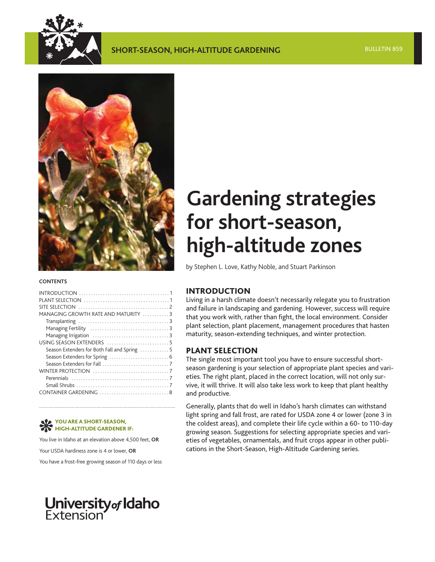



#### **CONTENTS**

| MANAGING GROWTH RATE AND MATURITY 3          |  |
|----------------------------------------------|--|
|                                              |  |
|                                              |  |
|                                              |  |
|                                              |  |
| Season Extenders for Both Fall and Spring  5 |  |
|                                              |  |
|                                              |  |
|                                              |  |
|                                              |  |
|                                              |  |
|                                              |  |
|                                              |  |

#### **YOU ARE A SHORT-SEASON, HIGH-ALTITUDE GARDENER IF:**

You live in Idaho at an elevation above 4,500 feet, **OR**

Your USDA hardiness zone is 4 or lower, **OR**

You have a frost-free growing season of 110 days or less

# **University of Idaho**<br>Extension

## **Gardening strategies for short-season, high-altitude zones**

by Stephen L. Love, Kathy Noble, and Stuart Parkinson

## **INTRODUCTION**

Living in a harsh climate doesn't necessarily relegate you to frustration and failure in landscaping and gardening. However, success will require that you work with, rather than fight, the local environment. Consider plant selection, plant placement, management procedures that hasten maturity, season-extending techniques, and winter protection.

## **PLANT SELECTION**

The single most important tool you have to ensure successful shortseason gardening is your selection of appropriate plant species and varieties. The right plant, placed in the correct location, will not only survive, it will thrive. It will also take less work to keep that plant healthy and productive.

Generally, plants that do well in Idaho's harsh climates can withstand light spring and fall frost, are rated for USDA zone 4 or lower (zone 3 in the coldest areas), and complete their life cycle within a 60- to 110-day growing season. Suggestions for selecting appropriate species and varieties of vegetables, ornamentals, and fruit crops appear in other publications in the Short-Season, High-Altitude Gardening series.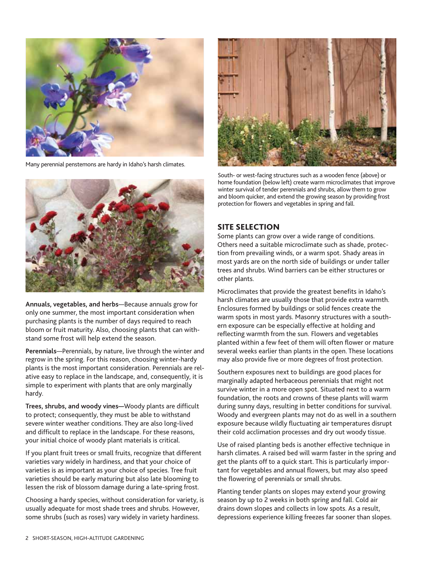<span id="page-1-0"></span>

Many perennial penstemons are hardy in Idaho's harsh climates.



**Annuals, vegetables, and herbs**—Because annuals grow for only one summer, the most important consideration when purchasing plants is the number of days required to reach bloom or fruit maturity. Also, choosing plants that can withstand some frost will help extend the season.

**Perennials**—Perennials, by nature, live through the winter and regrow in the spring. For this reason, choosing winter-hardy plants is the most important consideration. Perennials are relative easy to replace in the landscape, and, consequently, it is simple to experiment with plants that are only marginally hardy.

**Trees, shrubs, and woody vines—**Woody plants are difficult to protect; consequently, they must be able to withstand severe winter weather conditions. They are also long-lived and difficult to replace in the landscape. For these reasons, your initial choice of woody plant materials is critical.

If you plant fruit trees or small fruits, recognize that different varieties vary widely in hardiness, and that your choice of varieties is as important as your choice of species. Tree fruit varieties should be early maturing but also late blooming to lessen the risk of blossom damage during a late-spring frost.

Choosing a hardy species, without consideration for variety, is usually adequate for most shade trees and shrubs. However, some shrubs (such as roses) vary widely in variety hardiness.



South- or west-facing structures such as a wooden fence (above) or home foundation (below left) create warm microclimates that improve winter survival of tender perennials and shrubs, allow them to grow and bloom quicker, and extend the growing season by providing frost protection for flowers and vegetables in spring and fall.

## **SITE SELECTION**

Some plants can grow over a wide range of conditions. Others need a suitable microclimate such as shade, protection from prevailing winds, or a warm spot. Shady areas in most yards are on the north side of buildings or under taller trees and shrubs. Wind barriers can be either structures or other plants.

Microclimates that provide the greatest benefits in Idaho's harsh climates are usually those that provide extra warmth. Enclosures formed by buildings or solid fences create the warm spots in most yards. Masonry structures with a southern exposure can be especially effective at holding and reflecting warmth from the sun. Flowers and vegetables planted within a few feet of them will often flower or mature several weeks earlier than plants in the open. These locations may also provide five or more degrees of frost protection.

Southern exposures next to buildings are good places for marginally adapted herbaceous perennials that might not survive winter in a more open spot. Situated next to a warm foundation, the roots and crowns of these plants will warm during sunny days, resulting in better conditions for survival. Woody and evergreen plants may not do as well in a southern exposure because wildly fluctuating air temperatures disrupt their cold acclimation processes and dry out woody tissue.

Use of raised planting beds is another effective technique in harsh climates. A raised bed will warm faster in the spring and get the plants off to a quick start. This is particularly important for vegetables and annual flowers, but may also speed the flowering of perennials or small shrubs.

Planting tender plants on slopes may extend your growing season by up to 2 weeks in both spring and fall. Cold air drains down slopes and collects in low spots. As a result, depressions experience killing freezes far sooner than slopes.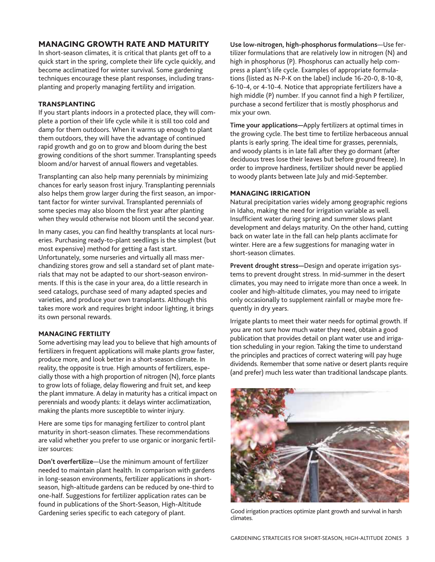## <span id="page-2-0"></span>**MANAGING GROWTH RATE AND MATURITY**

In short-season climates, it is critical that plants get off to a quick start in the spring, complete their life cycle quickly, and become acclimatized for winter survival. Some gardening techniques encourage these plant responses, including transplanting and properly managing fertility and irrigation.

#### **TRANSPLANTING**

If you start plants indoors in a protected place, they will complete a portion of their life cycle while it is still too cold and damp for them outdoors. When it warms up enough to plant them outdoors, they will have the advantage of continued rapid growth and go on to grow and bloom during the best growing conditions of the short summer. Transplanting speeds bloom and/or harvest of annual flowers and vegetables.

Transplanting can also help many perennials by minimizing chances for early season frost injury. Transplanting perennials also helps them grow larger during the first season, an important factor for winter survival. Transplanted perennials of some species may also bloom the first year after planting when they would otherwise not bloom until the second year.

In many cases, you can find healthy transplants at local nurseries. Purchasing ready-to-plant seedlings is the simplest (but most expensive) method for getting a fast start. Unfortunately, some nurseries and virtually all mass merchandizing stores grow and sell a standard set of plant materials that may not be adapted to our short-season environments. If this is the case in your area, do a little research in seed catalogs, purchase seed of many adapted species and varieties, and produce your own transplants. Although this takes more work and requires bright indoor lighting, it brings its own personal rewards.

## **MANAGING FERTILITY**

Some advertising may lead you to believe that high amounts of fertilizers in frequent applications will make plants grow faster, produce more, and look better in a short-season climate. In reality, the opposite is true. High amounts of fertilizers, especially those with a high proportion of nitrogen (N), force plants to grow lots of foliage, delay flowering and fruit set, and keep the plant immature. A delay in maturity has a critical impact on perennials and woody plants: it delays winter acclimatization, making the plants more susceptible to winter injury.

Here are some tips for managing fertilizer to control plant maturity in short-season climates. These recommendations are valid whether you prefer to use organic or inorganic fertilizer sources:

**Don't overfertilize**—Use the minimum amount of fertilizer needed to maintain plant health. In comparison with gardens in long-season environments, fertilizer applications in shortseason, high-altitude gardens can be reduced by one-third to one-half. Suggestions for fertilizer application rates can be found in publications of the Short-Season, High-Altitude Gardening series specific to each category of plant.

**Use low-nitrogen, high-phosphorus formulations**—Use fertilizer formulations that are relatively low in nitrogen (N) and high in phosphorus (P). Phosphorus can actually help compress a plant's life cycle. Examples of appropriate formulations (listed as N-P-K on the label) include 16-20-0, 8-10-8, 6-10-4, or 4-10-4. Notice that appropriate fertilizers have a high middle (P) number. If you cannot find a high P fertilizer, purchase a second fertilizer that is mostly phosphorus and mix your own.

**Time your applications—**Apply fertilizers at optimal times in the growing cycle. The best time to fertilize herbaceous annual plants is early spring. The ideal time for grasses, perennials, and woody plants is in late fall after they go dormant (after deciduous trees lose their leaves but before ground freeze). In order to improve hardiness, fertilizer should never be applied to woody plants between late July and mid-September.

#### **MANAGING IRRIGATION**

Natural precipitation varies widely among geographic regions in Idaho, making the need for irrigation variable as well. Insufficient water during spring and summer slows plant development and delays maturity. On the other hand, cutting back on water late in the fall can help plants acclimate for winter. Here are a few suggestions for managing water in short-season climates.

**Prevent drought stress—**Design and operate irrigation systems to prevent drought stress. In mid-summer in the desert climates, you may need to irrigate more than once a week. In cooler and high-altitude climates, you may need to irrigate only occasionally to supplement rainfall or maybe more frequently in dry years.

Irrigate plants to meet their water needs for optimal growth. If you are not sure how much water they need, obtain a good publication that provides detail on plant water use and irrigation scheduling in your region. Taking the time to understand the principles and practices of correct watering will pay huge dividends. Remember that some native or desert plants require (and prefer) much less water than traditional landscape plants.



Good irrigation practices optimize plant growth and survival in harsh climates.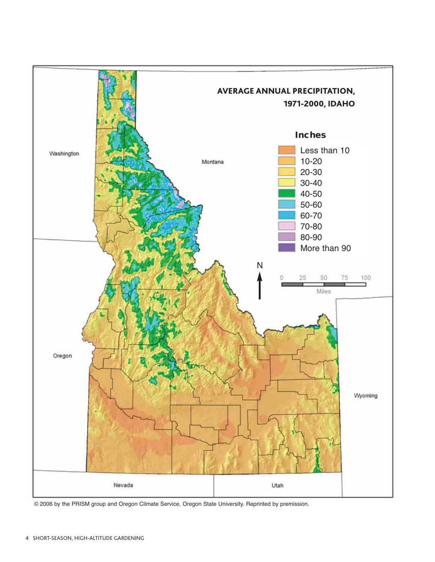

© 2006 by the PRISM group and Oregon Climate Service, Oregon State University. Reprinted by premission.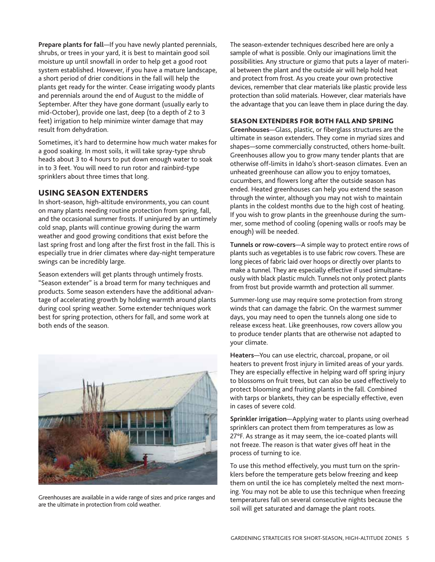<span id="page-4-0"></span>**Prepare plants for fall**—If you have newly planted perennials, shrubs, or trees in your yard, it is best to maintain good soil moisture up until snowfall in order to help get a good root system established. However, if you have a mature landscape, a short period of drier conditions in the fall will help the plants get ready for the winter. Cease irrigating woody plants and perennials around the end of August to the middle of September. After they have gone dormant (usually early to mid-October), provide one last, deep (to a depth of 2 to 3 feet) irrigation to help minimize winter damage that may result from dehydration.

Sometimes, it's hard to determine how much water makes for a good soaking. In most soils, it will take spray-type shrub heads about 3 to 4 hours to put down enough water to soak in to 3 feet. You will need to run rotor and rainbird-type sprinklers about three times that long.

## **USING SEASON EXTENDERS**

In short-season, high-altitude environments, you can count on many plants needing routine protection from spring, fall, and the occasional summer frosts. If uninjured by an untimely cold snap, plants will continue growing during the warm weather and good growing conditions that exist before the last spring frost and long after the first frost in the fall. This is especially true in drier climates where day-night temperature swings can be incredibly large.

Season extenders will get plants through untimely frosts. "Season extender" is a broad term for many techniques and products. Some season extenders have the additional advantage of accelerating growth by holding warmth around plants during cool spring weather. Some extender techniques work best for spring protection, others for fall, and some work at both ends of the season.



Greenhouses are available in a wide range of sizes and price ranges and are the ultimate in protection from cold weather.

The season-extender techniques described here are only a sample of what is possible. Only our imaginations limit the possibilities. Any structure or gizmo that puts a layer of material between the plant and the outside air will help hold heat and protect from frost. As you create your own protective devices, remember that clear materials like plastic provide less protection than solid materials. However, clear materials have the advantage that you can leave them in place during the day.

#### **SEASON EXTENDERS FOR BOTH FALL AND SPRING**

**Greenhouses**—Glass, plastic, or fiberglass structures are the ultimate in season extenders. They come in myriad sizes and shapes—some commercially constructed, others home-built. Greenhouses allow you to grow many tender plants that are otherwise off-limits in Idaho's short-season climates. Even an unheated greenhouse can allow you to enjoy tomatoes, cucumbers, and flowers long after the outside season has ended. Heated greenhouses can help you extend the season through the winter, although you may not wish to maintain plants in the coldest months due to the high cost of heating. If you wish to grow plants in the greenhouse during the summer, some method of cooling (opening walls or roofs may be enough) will be needed.

**Tunnels or row-covers**—A simple way to protect entire rows of plants such as vegetables is to use fabric row covers. These are long pieces of fabric laid over hoops or directly over plants to make a tunnel. They are especially effective if used simultaneously with black plastic mulch. Tunnels not only protect plants from frost but provide warmth and protection all summer.

Summer-long use may require some protection from strong winds that can damage the fabric. On the warmest summer days, you may need to open the tunnels along one side to release excess heat. Like greenhouses, row covers allow you to produce tender plants that are otherwise not adapted to your climate.

**Heaters**—You can use electric, charcoal, propane, or oil heaters to prevent frost injury in limited areas of your yards. They are especially effective in helping ward off spring injury to blossoms on fruit trees, but can also be used effectively to protect blooming and fruiting plants in the fall. Combined with tarps or blankets, they can be especially effective, even in cases of severe cold.

**Sprinkler irrigation**—Applying water to plants using overhead sprinklers can protect them from temperatures as low as 27°F. As strange as it may seem, the ice-coated plants will not freeze. The reason is that water gives off heat in the process of turning to ice.

To use this method effectively, you must turn on the sprinklers before the temperature gets below freezing and keep them on until the ice has completely melted the next morning. You may not be able to use this technique when freezing temperatures fall on several consecutive nights because the soil will get saturated and damage the plant roots.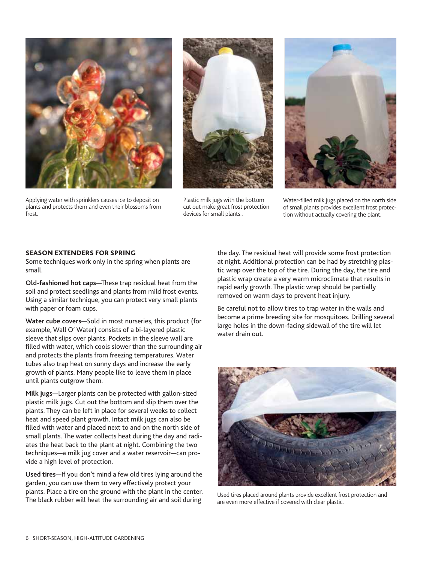<span id="page-5-0"></span>

Applying water with sprinklers causes ice to deposit on plants and protects them and even their blossoms from frost.



Plastic milk jugs with the bottom cut out make great frost protection devices for small plants..



Water-filled milk jugs placed on the north side of small plants provides excellent frost protection without actually covering the plant.

#### **SEASON EXTENDERS FOR SPRING**

Some techniques work only in the spring when plants are small.

**Old-fashioned hot caps**—These trap residual heat from the soil and protect seedlings and plants from mild frost events. Using a similar technique, you can protect very small plants with paper or foam cups.

**Water cube covers**—Sold in most nurseries, this product (for example, Wall O' Water) consists of a bi-layered plastic sleeve that slips over plants. Pockets in the sleeve wall are filled with water, which cools slower than the surrounding air and protects the plants from freezing temperatures. Water tubes also trap heat on sunny days and increase the early growth of plants. Many people like to leave them in place until plants outgrow them.

**Milk jugs**—Larger plants can be protected with gallon-sized plastic milk jugs. Cut out the bottom and slip them over the plants. They can be left in place for several weeks to collect heat and speed plant growth. Intact milk jugs can also be filled with water and placed next to and on the north side of small plants. The water collects heat during the day and radiates the heat back to the plant at night. Combining the two techniques—a milk jug cover and a water reservoir—can provide a high level of protection.

**Used tires**—If you don't mind a few old tires lying around the garden, you can use them to very effectively protect your plants. Place a tire on the ground with the plant in the center. The black rubber will heat the surrounding air and soil during

the day. The residual heat will provide some frost protection at night. Additional protection can be had by stretching plastic wrap over the top of the tire. During the day, the tire and plastic wrap create a very warm microclimate that results in rapid early growth. The plastic wrap should be partially removed on warm days to prevent heat injury.

Be careful not to allow tires to trap water in the walls and become a prime breeding site for mosquitoes. Drilling several large holes in the down-facing sidewall of the tire will let water drain out.



Used tires placed around plants provide excellent frost protection and are even more effective if covered with clear plastic.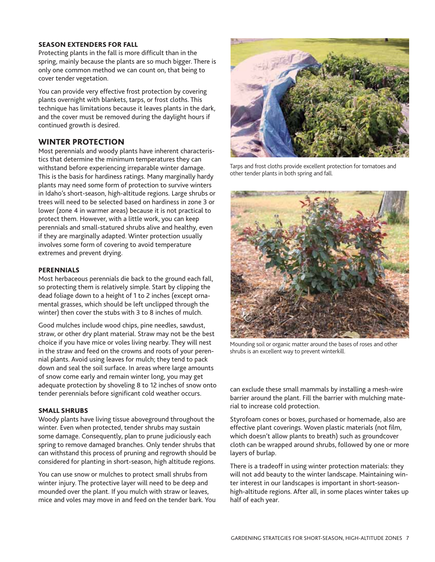#### <span id="page-6-0"></span>**SEASON EXTENDERS FOR FALL**

Protecting plants in the fall is more difficult than in the spring, mainly because the plants are so much bigger. There is only one common method we can count on, that being to cover tender vegetation.

You can provide very effective frost protection by covering plants overnight with blankets, tarps, or frost cloths. This technique has limitations because it leaves plants in the dark, and the cover must be removed during the daylight hours if continued growth is desired.

## **WINTER PROTECTION**

Most perennials and woody plants have inherent characteristics that determine the minimum temperatures they can withstand before experiencing irreparable winter damage. This is the basis for hardiness ratings. Many marginally hardy plants may need some form of protection to survive winters in Idaho's short-season, high-altitude regions. Large shrubs or trees will need to be selected based on hardiness in zone 3 or lower (zone 4 in warmer areas) because it is not practical to protect them. However, with a little work, you can keep perennials and small-statured shrubs alive and healthy, even if they are marginally adapted. Winter protection usually involves some form of covering to avoid temperature extremes and prevent drying.

#### **PERENNIALS**

Most herbaceous perennials die back to the ground each fall, so protecting them is relatively simple. Start by clipping the dead foliage down to a height of 1 to 2 inches (except ornamental grasses, which should be left unclipped through the winter) then cover the stubs with 3 to 8 inches of mulch.

Good mulches include wood chips, pine needles, sawdust, straw, or other dry plant material. Straw may not be the best choice if you have mice or voles living nearby. They will nest in the straw and feed on the crowns and roots of your perennial plants. Avoid using leaves for mulch; they tend to pack down and seal the soil surface. In areas where large amounts of snow come early and remain winter long, you may get adequate protection by shoveling 8 to 12 inches of snow onto tender perennials before significant cold weather occurs.

#### **SMALL SHRUBS**

Woody plants have living tissue aboveground throughout the winter. Even when protected, tender shrubs may sustain some damage. Consequently, plan to prune judiciously each spring to remove damaged branches. Only tender shrubs that can withstand this process of pruning and regrowth should be considered for planting in short-season, high altitude regions.

You can use snow or mulches to protect small shrubs from winter injury. The protective layer will need to be deep and mounded over the plant. If you mulch with straw or leaves, mice and voles may move in and feed on the tender bark. You



Tarps and frost cloths provide excellent protection for tomatoes and other tender plants in both spring and fall.



Mounding soil or organic matter around the bases of roses and other shrubs is an excellent way to prevent winterkill.

can exclude these small mammals by installing a mesh-wire barrier around the plant. Fill the barrier with mulching material to increase cold protection.

Styrofoam cones or boxes, purchased or homemade, also are effective plant coverings. Woven plastic materials (not film, which doesn't allow plants to breath) such as groundcover cloth can be wrapped around shrubs, followed by one or more layers of burlap.

There is a tradeoff in using winter protection materials: they will not add beauty to the winter landscape. Maintaining winter interest in our landscapes is important in short-seasonhigh-altitude regions. After all, in some places winter takes up half of each year.